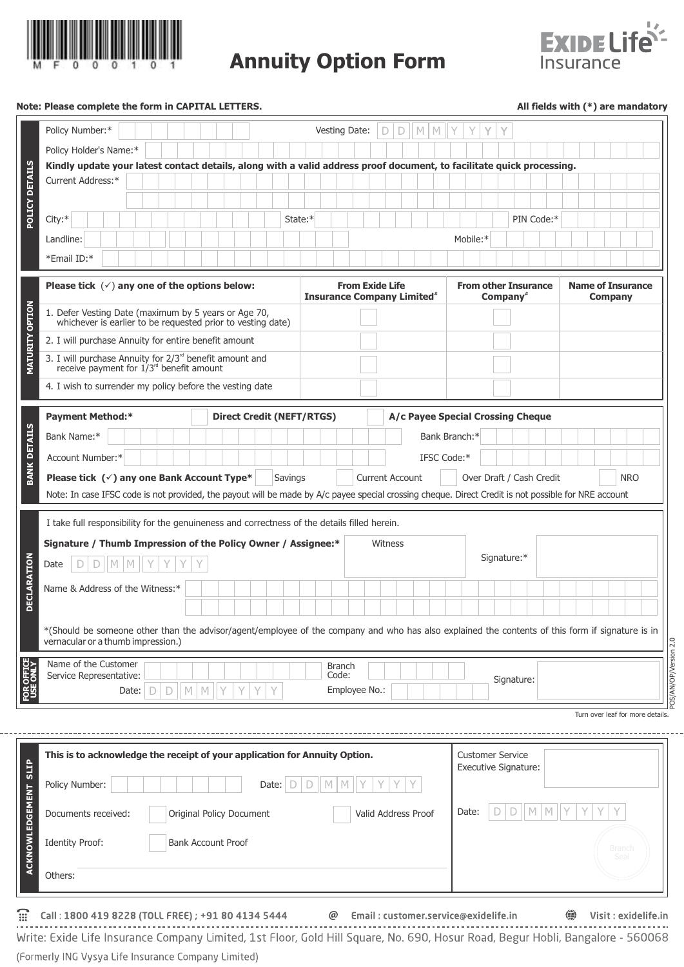

**Annuity Option Form**



## **Note: Please complete the form in CAPITAL LETTERS. All fields with (\*) are mandatory**

|                               | Policy Number:*                                                                                                                                                                        | Vesting Date:                                                          |                        | $\mathsf D$<br>D | $\mathbb N$ | M<br>Y        | Y                                          |                                                 |            |            |   |                                            |  |  |                                 |  |  |
|-------------------------------|----------------------------------------------------------------------------------------------------------------------------------------------------------------------------------------|------------------------------------------------------------------------|------------------------|------------------|-------------|---------------|--------------------------------------------|-------------------------------------------------|------------|------------|---|--------------------------------------------|--|--|---------------------------------|--|--|
|                               | Policy Holder's Name:*                                                                                                                                                                 |                                                                        |                        |                  |             |               |                                            |                                                 |            |            |   |                                            |  |  |                                 |  |  |
|                               | Kindly update your latest contact details, along with a valid address proof document, to facilitate quick processing.                                                                  |                                                                        |                        |                  |             |               |                                            |                                                 |            |            |   |                                            |  |  |                                 |  |  |
|                               | Current Address:*                                                                                                                                                                      |                                                                        |                        |                  |             |               |                                            |                                                 |            |            |   |                                            |  |  |                                 |  |  |
| POLICY DETAILS                |                                                                                                                                                                                        |                                                                        |                        |                  |             |               |                                            |                                                 |            |            |   |                                            |  |  |                                 |  |  |
|                               | City:*                                                                                                                                                                                 | State:*                                                                |                        |                  |             |               |                                            |                                                 |            | PIN Code:* |   |                                            |  |  |                                 |  |  |
|                               | Landline:                                                                                                                                                                              |                                                                        |                        |                  |             |               | Mobile:*                                   |                                                 |            |            |   |                                            |  |  |                                 |  |  |
|                               | *Email ID:*                                                                                                                                                                            |                                                                        |                        |                  |             |               |                                            |                                                 |            |            |   |                                            |  |  |                                 |  |  |
|                               | Please tick $(\checkmark)$ any one of the options below:                                                                                                                               | <b>From Exide Life</b><br><b>Insurance Company Limited<sup>#</sup></b> |                        |                  |             |               | <b>From other Insurance</b><br>Company $*$ |                                                 |            |            |   | <b>Name of Insurance</b><br><b>Company</b> |  |  |                                 |  |  |
| <b>MATURITY OPTION</b>        | 1. Defer Vesting Date (maximum by 5 years or Age 70,<br>whichever is earlier to be requested prior to vesting date)                                                                    |                                                                        |                        |                  |             |               |                                            |                                                 |            |            |   |                                            |  |  |                                 |  |  |
|                               | 2. I will purchase Annuity for entire benefit amount                                                                                                                                   |                                                                        |                        |                  |             |               |                                            |                                                 |            |            |   |                                            |  |  |                                 |  |  |
|                               | 3. I will purchase Annuity for $2/3^{rd}$ benefit amount and receive payment for $1/3^{rd}$ benefit amount                                                                             |                                                                        |                        |                  |             |               |                                            |                                                 |            |            |   |                                            |  |  |                                 |  |  |
|                               | 4. I wish to surrender my policy before the vesting date                                                                                                                               |                                                                        |                        |                  |             |               |                                            |                                                 |            |            |   |                                            |  |  |                                 |  |  |
|                               | <b>Payment Method:*</b><br><b>Direct Credit (NEFT/RTGS)</b><br>A/c Payee Special Crossing Cheque                                                                                       |                                                                        |                        |                  |             |               |                                            |                                                 |            |            |   |                                            |  |  |                                 |  |  |
| <b>BANK DETAILS</b>           | Bank Name:*                                                                                                                                                                            |                                                                        |                        |                  |             | Bank Branch:* |                                            |                                                 |            |            |   |                                            |  |  |                                 |  |  |
|                               | Account Number:*                                                                                                                                                                       |                                                                        |                        |                  |             | IFSC Code:*   |                                            |                                                 |            |            |   |                                            |  |  |                                 |  |  |
|                               | Please tick $(\check{ } )$ any one Bank Account Type*<br>Savings                                                                                                                       |                                                                        | <b>Current Account</b> |                  |             |               |                                            | Over Draft / Cash Credit                        |            |            |   |                                            |  |  | <b>NRO</b>                      |  |  |
|                               | Note: In case IFSC code is not provided, the payout will be made by A/c payee special crossing cheque. Direct Credit is not possible for NRE account                                   |                                                                        |                        |                  |             |               |                                            |                                                 |            |            |   |                                            |  |  |                                 |  |  |
|                               |                                                                                                                                                                                        |                                                                        |                        |                  |             |               |                                            |                                                 |            |            |   |                                            |  |  |                                 |  |  |
|                               | I take full responsibility for the genuineness and correctness of the details filled herein.                                                                                           |                                                                        |                        |                  |             |               |                                            |                                                 |            |            |   |                                            |  |  |                                 |  |  |
|                               | Signature / Thumb Impression of the Policy Owner / Assignee:*                                                                                                                          | Witness                                                                |                        |                  |             |               | Signature:*                                |                                                 |            |            |   |                                            |  |  |                                 |  |  |
|                               | $\mathbb{M}$<br>Date<br>M                                                                                                                                                              |                                                                        |                        |                  |             |               |                                            |                                                 |            |            |   |                                            |  |  |                                 |  |  |
| <b>DECLARATION</b>            | Name & Address of the Witness:*                                                                                                                                                        |                                                                        |                        |                  |             |               |                                            |                                                 |            |            |   |                                            |  |  |                                 |  |  |
|                               |                                                                                                                                                                                        |                                                                        |                        |                  |             |               |                                            |                                                 |            |            |   |                                            |  |  |                                 |  |  |
|                               | *(Should be someone other than the advisor/agent/employee of the company and who has also explained the contents of this form if signature is in<br>vernacular or a thumb impression.) |                                                                        |                        |                  |             |               |                                            |                                                 |            |            |   |                                            |  |  |                                 |  |  |
|                               | Name of the Customer                                                                                                                                                                   | <b>Branch</b>                                                          |                        |                  |             |               |                                            |                                                 |            |            |   |                                            |  |  |                                 |  |  |
| <b>FOR OFFICE</b><br>USE ONLY | Service Representative:                                                                                                                                                                | Code:                                                                  |                        |                  |             |               |                                            |                                                 | Signature: |            |   |                                            |  |  |                                 |  |  |
|                               | $\mathbb{M}^-$<br>$\mathbb N$<br>Date: $\Box$<br>$\mathsf D$                                                                                                                           |                                                                        | Employee No.:          |                  |             |               |                                            |                                                 |            |            |   |                                            |  |  |                                 |  |  |
|                               |                                                                                                                                                                                        |                                                                        |                        |                  |             |               |                                            |                                                 |            |            |   |                                            |  |  | Turn over leaf for more details |  |  |
|                               |                                                                                                                                                                                        |                                                                        |                        |                  |             |               |                                            |                                                 |            |            |   |                                            |  |  |                                 |  |  |
| ACKNOWLEDGEMENT SLIP          | This is to acknowledge the receipt of your application for Annuity Option.                                                                                                             |                                                                        |                        |                  |             |               |                                            | <b>Customer Service</b><br>Executive Signature: |            |            |   |                                            |  |  |                                 |  |  |
|                               | Policy Number:<br>Date:<br>D                                                                                                                                                           |                                                                        |                        |                  |             |               |                                            |                                                 |            |            |   |                                            |  |  |                                 |  |  |
|                               |                                                                                                                                                                                        | Date:<br>Original Policy Document<br>Valid Address Proof               |                        |                  |             |               |                                            |                                                 |            |            | М |                                            |  |  |                                 |  |  |
|                               | Documents received:                                                                                                                                                                    |                                                                        |                        |                  |             |               |                                            |                                                 |            |            |   |                                            |  |  |                                 |  |  |
|                               | <b>Bank Account Proof</b><br><b>Identity Proof:</b>                                                                                                                                    |                                                                        |                        |                  |             |               |                                            |                                                 |            |            |   |                                            |  |  | Branch<br>Seal                  |  |  |

 $\widehat{m}$ Call: 1800 419 8228 (TOLL FREE) ; +91 80 4134 5444 @ Email: customer.service@exidelife.in

**●** Visit : exidelife.in

POS/AN/OP/Version 2.0

POS/AN/OP/Version 2.0

------------------------<u>---------------------</u> Write: Exide Life Insurance Company Limited, 1st Floor, Gold Hill Square, No. 690, Hosur Road, Begur Hobli, Bangalore - 560068 (Formerly ING Vysya Life Insurance Company Limited)